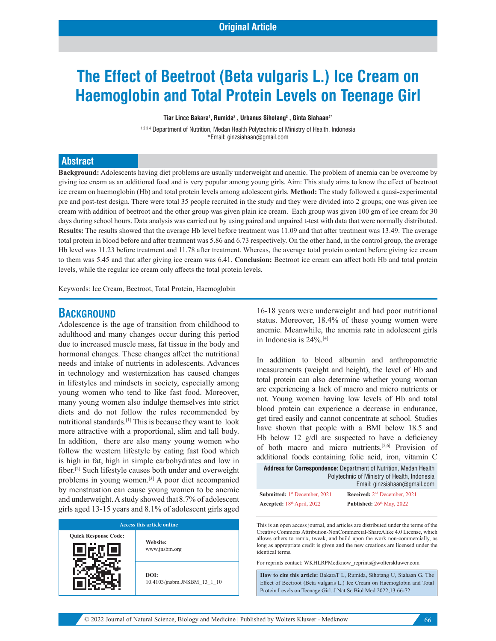# **The Effect of Beetroot (Beta vulgaris L.) Ice Cream on Haemoglobin and Total Protein Levels on Teenage Girl**

**Tiar Lince Bakara1 , Rumida2 , Urbanus Sihotang3 , Ginta Siahaan4\***

1234 Department of Nutrition, Medan Health Polytechnic of Ministry of Health, Indonesia \*Email: ginzsiahaan@gmail.com

#### **Abstract**

**Background:** Adolescents having diet problems are usually underweight and anemic. The problem of anemia can be overcome by giving ice cream as an additional food and is very popular among young girls. Aim: This study aims to know the effect of beetroot ice cream on haemoglobin (Hb) and total protein levels among adolescent girls. **Method:** The study followed a quasi-experimental pre and post-test design. There were total 35 people recruited in the study and they were divided into 2 groups; one was given ice cream with addition of beetroot and the other group was given plain ice cream. Each group was given 100 gm of ice cream for 30 days during school hours. Data analysis was carried out by using paired and unpaired t-test with data that were normally distributed. **Results:** The results showed that the average Hb level before treatment was 11.09 and that after treatment was 13.49. The average total protein in blood before and after treatment was 5.86 and 6.73 respectively. On the other hand, in the control group, the average Hb level was 11.23 before treatment and 11.78 after treatment. Whereas, the average total protein content before giving ice cream to them was 5.45 and that after giving ice cream was 6.41. **Conclusion:** Beetroot ice cream can affect both Hb and total protein levels, while the regular ice cream only affects the total protein levels.

Keywords: Ice Cream, Beetroot, Total Protein, Haemoglobin

### **BACKGROUND**

Adolescence is the age of transition from childhood to adulthood and many changes occur during this period due to increased muscle mass, fat tissue in the body and hormonal changes. These changes affect the nutritional needs and intake of nutrients in adolescents. Advances in technology and westernization has caused changes in lifestyles and mindsets in society, especially among young women who tend to like fast food. Moreover, many young women also indulge themselves into strict diets and do not follow the rules recommended by nutritional standards.[1] This is because they want to look more attractive with a proportional, slim and tall body. In addition, there are also many young women who follow the western lifestyle by eating fast food which is high in fat, high in simple carbohydrates and low in fiber.[2] Such lifestyle causes both under and overweight problems in young women.[3] A poor diet accompanied by menstruation can cause young women to be anemic and underweight. A study showed that8.7% of adolescent girls aged 13-15 years and 8.1% of adolescent girls aged

| Access this article online  |                                     |  |  |  |  |  |
|-----------------------------|-------------------------------------|--|--|--|--|--|
| <b>Quick Response Code:</b> | Website:<br>www.jnsbm.org           |  |  |  |  |  |
|                             | DOI:<br>10.4103/jnsbm.JNSBM 13 1 10 |  |  |  |  |  |

16-18 years were underweight and had poor nutritional status. Moreover, 18.4% of these young women were anemic. Meanwhile, the anemia rate in adolescent girls in Indonesia is 24%.[4]

In addition to blood albumin and anthropometric measurements (weight and height), the level of Hb and total protein can also determine whether young woman are experiencing a lack of macro and micro nutrients or not. Young women having low levels of Hb and total blood protein can experience a decrease in endurance, get tired easily and cannot concentrate at school. Studies have shown that people with a BMI below 18.5 and Hb below 12  $g/dl$  are suspected to have a deficiency of both macro and micro nutrients.[5,6] Provision of additional foods containing folic acid, iron, vitamin C

| <b>Address for Correspondence:</b> Department of Nutrition. Medan Health |
|--------------------------------------------------------------------------|
| Polytechnic of Ministry of Health, Indonesia                             |
| Email: ginzsiahaan@gmail.com                                             |

| <b>Submitted:</b> $1st$ December, 2021 | Received: $2nd$ December, 2021 |
|----------------------------------------|--------------------------------|
| Accepted: $18th$ April, 2022           | Published: $26th$ May, 2022    |

This is an open access journal, and articles are distributed under the terms of the Creative Commons Attribution-NonCommercial-ShareAlike 4.0 License, which allows others to remix, tweak, and build upon the work non-commercially, as long as appropriate credit is given and the new creations are licensed under the identical terms.

For reprints contact: WKHLRPMedknow\_reprints@wolterskluwer.com

**How to cite this article:** BakaraT L, Rumida, Sihotang U, Siahaan G. The Effect of Beetroot (Beta vulgaris L.) Ice Cream on Haemoglobin and Total Protein Levels on Teenage Girl. J Nat Sc Biol Med 2022;13:66-72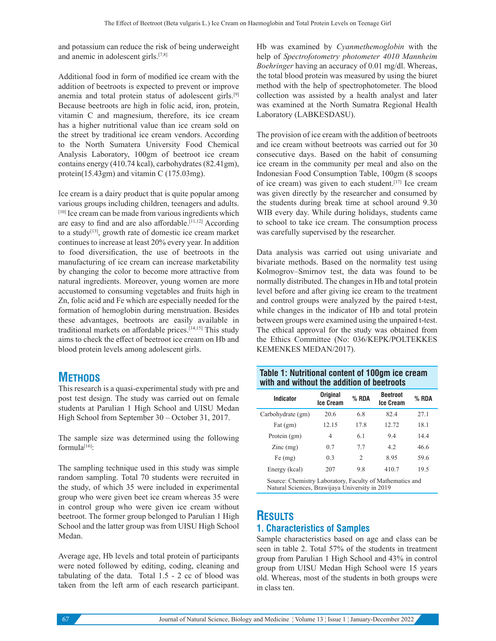and potassium can reduce the risk of being underweight and anemic in adolescent girls.[7,8]

Additional food in form of modified ice cream with the addition of beetroots is expected to prevent or improve anemia and total protein status of adolescent girls.[9] Because beetroots are high in folic acid, iron, protein, vitamin C and magnesium, therefore, its ice cream has a higher nutritional value than ice cream sold on the street by traditional ice cream vendors. According to the North Sumatera University Food Chemical Analysis Laboratory, 100gm of beetroot ice cream contains energy (410.74 kcal), carbohydrates (82.41gm), protein(15.43gm) and vitamin C (175.03mg).

Ice cream is a dairy product that is quite popular among various groups including children, teenagers and adults. [10] Ice cream can be made from various ingredients which are easy to find and are also affordable.<sup>[11,12]</sup> According to a study<sup>[13]</sup>, growth rate of domestic ice cream market continues to increase at least 20% every year. In addition to food diversification, the use of beetroots in the manufacturing of ice cream can increase marketability by changing the color to become more attractive from natural ingredients. Moreover, young women are more accustomed to consuming vegetables and fruits high in Zn, folic acid and Fe which are especially needed for the formation of hemoglobin during menstruation. Besides these advantages, beetroots are easily available in traditional markets on affordable prices.[14,15] This study aims to check the effect of beetroot ice cream on Hb and blood protein levels among adolescent girls.

# **METHODS**

This research is a quasi-experimental study with pre and post test design. The study was carried out on female students at Parulian 1 High School and UISU Medan High School from September 30 – October 31, 2017.

The sample size was determined using the following formula[16]:

The sampling technique used in this study was simple random sampling. Total 70 students were recruited in the study, of which 35 were included in experimental group who were given beet ice cream whereas 35 were in control group who were given ice cream without beetroot. The former group belonged to Parulian 1 High School and the latter group was from UISU High School Medan.

Average age, Hb levels and total protein of participants were noted followed by editing, coding, cleaning and tabulating of the data. Total 1.5 - 2 cc of blood was taken from the left arm of each research participant. Hb was examined by *Cyanmethemoglobin* with the help of *Spectrofotometry photometer 4010 Mannheim Boehringer* having an accuracy of 0.01 mg/dl. Whereas, the total blood protein was measured by using the biuret method with the help of spectrophotometer. The blood collection was assisted by a health analyst and later was examined at the North Sumatra Regional Health Laboratory (LABKESDASU).

The provision of ice cream with the addition of beetroots and ice cream without beetroots was carried out for 30 consecutive days. Based on the habit of consuming ice cream in the community per meal and also on the Indonesian Food Consumption Table, 100gm (8 scoops of ice cream) was given to each student.[17] Ice cream was given directly by the researcher and consumed by the students during break time at school around 9.30 WIB every day. While during holidays, students came to school to take ice cream. The consumption process was carefully supervised by the researcher.

Data analysis was carried out using univariate and bivariate methods. Based on the normality test using Kolmogrov–Smirnov test, the data was found to be normally distributed. The changes in Hb and total protein level before and after giving ice cream to the treatment and control groups were analyzed by the paired t-test, while changes in the indicator of Hb and total protein between groups were examined using the unpaired t-test. The ethical approval for the study was obtained from the Ethics Committee (No: 036/KEPK/POLTEKKES KEMENKES MEDAN/2017).

# **Table 1: Nutritional content of 100gm ice cream with and without the addition of beetroots**

| Indicator                                                | <b>Original</b><br><b>Ice Cream</b> | $%$ RDA        | <b>Beetroot</b><br><b>Ice Cream</b> | % RDA |
|----------------------------------------------------------|-------------------------------------|----------------|-------------------------------------|-------|
| Carbohydrate (gm)                                        | 20.6                                | 6.8            | 82.4                                | 27.1  |
| Fat $(gm)$                                               | 12.15                               | 17.8           | 12.72                               | 18.1  |
| Protein (gm)                                             | 4                                   | 6.1            | 9.4                                 | 14.4  |
| $\text{Zinc}$ (mg)                                       | 0.7                                 | 7.7            | 4.2                                 | 46.6  |
| Fe (mg)                                                  | 0.3                                 | $\mathfrak{D}$ | 8.95                                | 59.6  |
| Energy (kcal)                                            | 207                                 | 9.8            | 410.7                               | 19.5  |
| Source: Chemistry Laboratory, Faculty of Mathematics and |                                     |                |                                     |       |

Natural Sciences, Brawijaya University in 2019

# **RESULTS**

# **1. Characteristics of Samples**

Sample characteristics based on age and class can be seen in table 2. Total 57% of the students in treatment group from Parulian 1 High School and 43% in control group from UISU Medan High School were 15 years old. Whereas, most of the students in both groups were in class ten.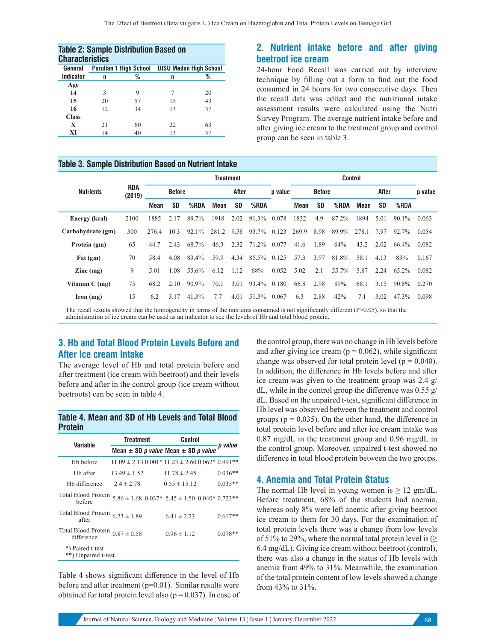| <b>Table 2: Sample Distribution Based on</b><br><b>Characteristics</b> |    |                               |     |                               |  |  |  |  |
|------------------------------------------------------------------------|----|-------------------------------|-----|-------------------------------|--|--|--|--|
| General                                                                |    | <b>Parulian 1 High School</b> |     | <b>UISU Medan High School</b> |  |  |  |  |
| <b>Indicator</b>                                                       | n  | %                             | n   | %                             |  |  |  |  |
| Age                                                                    |    |                               |     |                               |  |  |  |  |
| 14                                                                     | 3  | 9                             |     | 20                            |  |  |  |  |
| 15                                                                     | 20 | 57                            | 15  | 43                            |  |  |  |  |
| 16                                                                     | 12 | 34                            | 13  | 37                            |  |  |  |  |
| <b>Class</b>                                                           |    |                               |     |                               |  |  |  |  |
| X                                                                      | 21 | 60                            | 22. | 63                            |  |  |  |  |
| XI                                                                     | 14 | 40                            | 13  | 37                            |  |  |  |  |

#### **Table 3. Sample Distribution Based on Nutrient Intake**

# **2. Nutrient intake before and after giving beetroot ice cream**

24-hour Food Recall was carried out by interview technique by filling out a form to find out the food consumed in 24 hours for two consecutive days. Then the recall data was edited and the nutritional intake assessment results were calculated using the Nutri Survey Program. The average nutrient intake before and after giving ice cream to the treatment group and control group can be seen in table 3.

|                                                                                                                                             |            |               |           |         | <b>Control</b> |      |             |               |       |           |              |       |      |          |       |
|---------------------------------------------------------------------------------------------------------------------------------------------|------------|---------------|-----------|---------|----------------|------|-------------|---------------|-------|-----------|--------------|-------|------|----------|-------|
| <b>Nutrients</b><br>(2019)                                                                                                                  | <b>RDA</b> | <b>Before</b> |           |         | After          |      | p value     | <b>Before</b> |       |           | <b>After</b> |       |      | p value  |       |
|                                                                                                                                             |            | Mean          | <b>SD</b> | $%$ RDA | <b>Mean</b>    | SD   | %RDA        |               | Mean  | <b>SD</b> | %RDA         | Mean  | SD   | %RDA     |       |
| Energy (kcal)                                                                                                                               | 2100       | 1885          | 2.17      | 89.7%   | 1918           | 2.02 | 91.3%       | 0.078         | 1832  | 4.9       | 87.2%        | 1894  | 5.01 | $90.1\%$ | 0.063 |
| Carbohydrate (gm)                                                                                                                           | 300        | 276.4         | 10.3      | 92.1%   | 281.2          | 9.58 | 93.7%       | 0.123         | 269.9 | 8.98      | 89.9%        | 278.1 | 7.97 | 92.7%    | 0.054 |
| Protein (gm)                                                                                                                                | 65         | 44.7          | 2.43      | 68.7%   | 46.3           | 2.32 | 71.2%       | 0.077         | 41.6  | 1.89      | 64%          | 43.2  | 2.02 | 66.4%    | 0.082 |
| $_{\rm{Fat}}$ (gm)                                                                                                                          | 70         | 58.4          | 4.08      | 83.4%   | 59.9           | 4.34 | 85.5% 0.125 |               | 57.3  | 3.97      | 81.8%        | 58.1  | 4.13 | 83%      | 0.167 |
| $\text{Zinc} \left( \text{mg} \right)$                                                                                                      | 9          | 5.01          | 1.08      | 55.6%   | 6.12           | 1.12 | 68%         | 0.052         | 5.02  | 2.1       | 55.7%        | 5.87  | 2.24 | 65.2%    | 0.082 |
| Vitamin $C$ (mg)                                                                                                                            | 75         | 68.2          | 2.10      | 90.9%   | 70.1           | 3.01 | 93.4% 0.180 |               | 66.8  | 2.98      | 89%          | 68.1  | 3.15 | 90.8%    | 0.270 |
| $\Gamma$ Iron (mg)                                                                                                                          | 15         | 6.2           | 3.17      | 41.3%   | 7.7            | 4.01 | 51.3%       | 0.067         | 6.3   | 2.88      | 42%          | 7.1   | 3.02 | 47.3%    | 0.098 |
| The good wealty charmed that the homeopearity in towns of the guitarete concurred is not similar differently different (DSAA5), as that the |            |               |           |         |                |      |             |               |       |           |              |       |      |          |       |

The recall results showed that the homogeneity in terms of the nutrients consumed is not significantly different (P>0.05), so that the

administration of ice cream can be used as an indicator to see the levels of Hb and total blood protein.

# **3. Hb and Total Blood Protein Levels Before and After Ice cream Intake**

The average level of Hb and total protein before and after treatment (ice cream with beetroot) and their levels before and after in the control group (ice cream without beetroots) can be seen in table 4.

#### **Table 4. Mean and SD of Hb Levels and Total Blood Protein**

| <b>Variable</b>                                   | <b>Treatment</b> | <b>Control</b>                                        |           |  |
|---------------------------------------------------|------------------|-------------------------------------------------------|-----------|--|
|                                                   |                  | Mean $\pm$ SD p value Mean $\pm$ SD p value           | p value   |  |
| H <sub>b</sub> before                             |                  | $11.09 \pm 2.13\,0.001*11.23 \pm 2.60\,0.062*0.991**$ |           |  |
| Hb after                                          | $13.49 \pm 1.52$ | $11.78 \pm 2.45$                                      | $0.036**$ |  |
| Hb difference                                     | $2.4 \pm 2.78$   | $0.55 \pm 15.12$                                      | $0.035**$ |  |
| Total Blood Protein<br>hefore                     |                  | $5.86 \pm 1.68$ 0.037* $5.45 \pm 1.50$ 0.040* 0.723** |           |  |
| Total Blood Protein $6.73 \pm 1.89$<br>after      |                  | $6.41 \pm 2.23$                                       | $0.617**$ |  |
| Total Blood Protein $0.87 \pm 0.58$<br>difference |                  | $0.96 \pm 1.12$                                       | $0.078**$ |  |
| *) Paired t-test<br>**) Unpaired t-test           |                  |                                                       |           |  |

Table 4 shows significant difference in the level of Hb before and after treatment (p=0.01). Similar results were obtained for total protein level also ( $p = 0.037$ ). In case of the control group, there was no change in Hb levels before and after giving ice cream ( $p = 0.062$ ), while significant change was observed for total protein level ( $p = 0.040$ ). In addition, the difference in Hb levels before and after ice cream was given to the treatment group was 2.4 g/ dL, while in the control group the difference was 0.55 g/ dL. Based on the unpaired t-test, significant difference in Hb level was observed between the treatment and control groups ( $p = 0.035$ ). On the other hand, the difference in total protein level before and after ice cream intake was 0.87 mg/dL in the treatment group and 0.96 mg/dL in the control group. Moreover, unpaired t-test showed no difference in total blood protein between the two groups.

#### **4. Anemia and Total Protein Status**

The normal Hb level in young women is  $\geq 12$  gm/dL. Before treatment, 68% of the students had anemia, whereas only 8% were left anemic after giving beetroot ice cream to them for 30 days. For the examination of total protein levels there was a change from low levels of 51% to 29%, where the normal total protein level is  $(\geq$ 6.4 mg/dL). Giving ice cream without beetroot (control), there was also a change in the status of Hb levels with anemia from 49% to 31%. Meanwhile, the examination of the total protein content of low levels showed a change from 43% to 31%.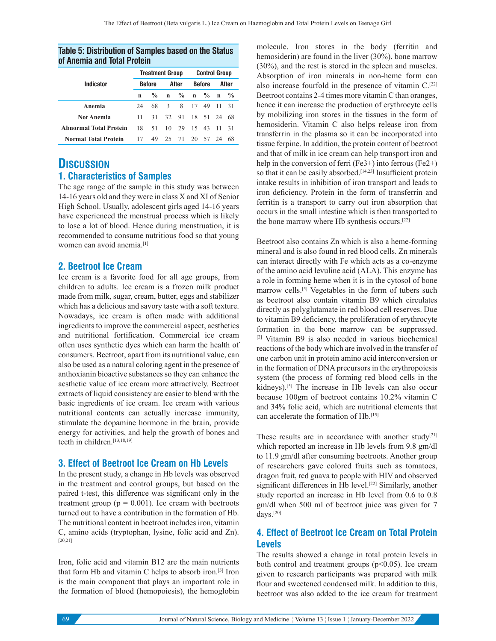|                               |    | <b>Treatment Group</b> |               | <b>Control Group</b> |               |          |        |               |  |
|-------------------------------|----|------------------------|---------------|----------------------|---------------|----------|--------|---------------|--|
| Indicator                     |    | <b>Before</b>          | After         |                      | <b>Before</b> |          | After  |               |  |
|                               | n  | $\frac{0}{2}$          | $\mathbf{u}$  |                      | $\%$ n        |          | $\%$ n | $\frac{0}{0}$ |  |
| Anemia                        | 24 | 68                     | $\mathcal{R}$ | 8                    | 17            | 49       | -11    | 31            |  |
| <b>Not Anemia</b>             | 11 | 31                     | 32            | 91                   |               | 18 51 24 |        | 68            |  |
| <b>Abnormal Total Protein</b> | 18 | 51                     | 10            | 29                   | 15            | 43       | -11    | 31            |  |
| <b>Normal Total Protein</b>   | 17 | 49                     |               | 25 71                |               | 20 57 24 |        | 68            |  |
|                               |    |                        |               |                      |               |          |        |               |  |

#### **Table 5: Distribution of Samples based on the Status of Anemia and Total Protein**

# **DISCUSSION**

### **1. Characteristics of Samples**

The age range of the sample in this study was between 14-16 years old and they were in class X and XI of Senior High School. Usually, adolescent girls aged 14-16 years have experienced the menstrual process which is likely to lose a lot of blood. Hence during menstruation, it is recommended to consume nutritious food so that young women can avoid anemia.[1]

## **2. Beetroot Ice Cream**

Ice cream is a favorite food for all age groups, from children to adults. Ice cream is a frozen milk product made from milk, sugar, cream, butter, eggs and stabilizer which has a delicious and savory taste with a soft texture. Nowadays, ice cream is often made with additional ingredients to improve the commercial aspect, aesthetics and nutritional fortification. Commercial ice cream often uses synthetic dyes which can harm the health of consumers. Beetroot, apart from its nutritional value, can also be used as a natural coloring agent in the presence of anthoxianin bioactive substances so they can enhance the aesthetic value of ice cream more attractively. Beetroot extracts of liquid consistency are easier to blend with the basic ingredients of ice cream. Ice cream with various nutritional contents can actually increase immunity, stimulate the dopamine hormone in the brain, provide energy for activities, and help the growth of bones and teeth in children.<sup>[13,18,19]</sup>

### **3. Effect of Beetroot Ice Cream on Hb Levels**

In the present study, a change in Hb levels was observed in the treatment and control groups, but based on the paired t-test, this difference was significant only in the treatment group ( $p = 0.001$ ). Ice cream with beetroots turned out to have a contribution in the formation of Hb. The nutritional content in beetroot includes iron, vitamin C, amino acids (tryptophan, lysine, folic acid and Zn). [20,21]

Iron, folic acid and vitamin B12 are the main nutrients that form Hb and vitamin C helps to absorb iron.[5] Iron is the main component that plays an important role in the formation of blood (hemopoiesis), the hemoglobin molecule. Iron stores in the body (ferritin and hemosiderin) are found in the liver (30%), bone marrow (30%), and the rest is stored in the spleen and muscles. Absorption of iron minerals in non-heme form can also increase fourfold in the presence of vitamin C.[22] Beetroot contains 2-4 times more vitamin C than oranges, hence it can increase the production of erythrocyte cells by mobilizing iron stores in the tissues in the form of hemosiderin. Vitamin C also helps release iron from transferrin in the plasma so it can be incorporated into tissue ferpine. In addition, the protein content of beetroot and that of milk in ice cream can help transport iron and help in the conversion of ferri (Fe3+) into ferrous (Fe2+) so that it can be easily absorbed.<sup>[14,23]</sup> Insufficient protein intake results in inhibition of iron transport and leads to iron deficiency. Protein in the form of transferrin and ferritin is a transport to carry out iron absorption that occurs in the small intestine which is then transported to the bone marrow where Hb synthesis occurs.[22]

Beetroot also contains Zn which is also a heme-forming mineral and is also found in red blood cells. Zn minerals can interact directly with Fe which acts as a co-enzyme of the amino acid levuline acid (ALA). This enzyme has a role in forming heme when it is in the cytosol of bone marrow cells.[5] Vegetables in the form of tubers such as beetroot also contain vitamin B9 which circulates directly as polyglutamate in red blood cell reserves. Due to vitamin B9 deficiency, the proliferation of erythrocyte formation in the bone marrow can be suppressed. [2] Vitamin B9 is also needed in various biochemical reactions of the body which are involved in the transfer of one carbon unit in protein amino acid interconversion or in the formation of DNA precursors in the erythropoiesis system (the process of forming red blood cells in the kidneys).<sup>[5]</sup> The increase in Hb levels can also occur because 100gm of beetroot contains 10.2% vitamin C and 34% folic acid, which are nutritional elements that can accelerate the formation of Hb.<sup>[15]</sup>

These results are in accordance with another study<sup>[21]</sup> which reported an increase in Hb levels from 9.8 gm/dl to 11.9 gm/dl after consuming beetroots. Another group of researchers gave colored fruits such as tomatoes, dragon fruit, red guava to people with HIV and observed significant differences in Hb level.<sup>[22]</sup> Similarly, another study reported an increase in Hb level from 0.6 to 0.8 gm/dl when 500 ml of beetroot juice was given for 7 days.[20]

# **4. Effect of Beetroot Ice Cream on Total Protein Levels**

The results showed a change in total protein levels in both control and treatment groups  $(p<0.05)$ . Ice cream given to research participants was prepared with milk flour and sweetened condensed milk. In addition to this, beetroot was also added to the ice cream for treatment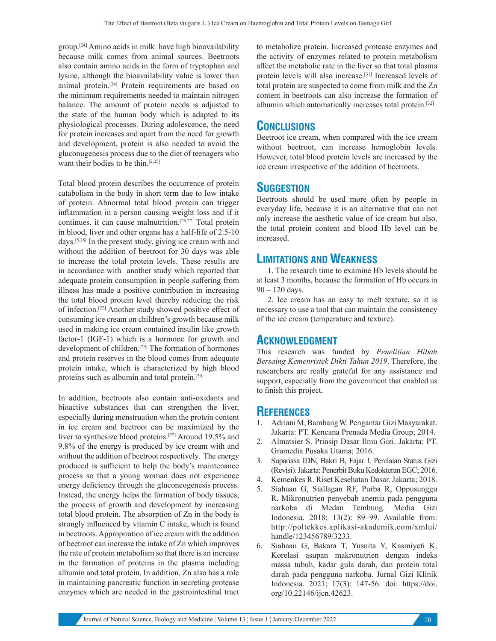group.[24] Amino acids in milk have high bioavailability because milk comes from animal sources. Beetroots also contain amino acids in the form of tryptophan and lysine, although the bioavailability value is lower than animal protein.[24] Protein requirements are based on the minimum requirements needed to maintain nitrogen balance. The amount of protein needs is adjusted to the state of the human body which is adapted to its physiological processes. During adolescence, the need for protein increases and apart from the need for growth and development, protein is also needed to avoid the gluconugenesis process due to the diet of teenagers who want their bodies to be thin.<sup>[2,25]</sup>

Total blood protein describes the occurrence of protein catabolism in the body in short term due to low intake of protein. Abnormal total blood protein can trigger inflammation in a person causing weight loss and if it continues, it can cause malnutrition.<sup>[26,27]</sup> Total protein in blood, liver and other organs has a half-life of 2.5-10 days.[5,28] In the present study, giving ice cream with and without the addition of beetroot for 30 days was able to increase the total protein levels. These results are in accordance with another study which reported that adequate protein consumption in people suffering from illness has made a positive contribution in increasing the total blood protein level thereby reducing the risk of infection.[22] Another study showed positive effect of consuming ice cream on children's growth because milk used in making ice cream contained insulin like growth factor-1 (IGF-1) which is a hormone for growth and development of children.<sup>[29]</sup> The formation of hormones and protein reserves in the blood comes from adequate protein intake, which is characterized by high blood proteins such as albumin and total protein.[30]

In addition, beetroots also contain anti-oxidants and bioactive substances that can strengthen the liver, especially during menstruation when the protein content in ice cream and beetroot can be maximized by the liver to synthesize blood proteins.[22] Around 19.5% and 9.8% of the energy is produced by ice cream with and without the addition of beetroot respectively. The energy produced is sufficient to help the body's maintenance process so that a young woman does not experience energy deficiency through the gluconeogenesis process. Instead, the energy helps the formation of body tissues, the process of growth and development by increasing total blood protein. The absorption of Zn in the body is strongly influenced by vitamin C intake, which is found in beetroots. Appropriation of ice cream with the addition of beetroot can increase the intake of Zn which improves the rate of protein metabolism so that there is an increase in the formation of proteins in the plasma including albumin and total protein. In addition, Zn also has a role in maintaining pancreatic function in secreting protease enzymes which are needed in the gastrointestinal tract to metabolize protein. Increased protease enzymes and the activity of enzymes related to protein metabolism affect the metabolic rate in the liver so that total plasma protein levels will also increase.[31] Increased levels of total protein are suspected to come from milk and the Zn content in beetroots can also increase the formation of albumin which automatically increases total protein.[32]

# **CONCLUSIONS**

Beetroot ice cream, when compared with the ice cream without beetroot, can increase hemoglobin levels. However, total blood protein levels are increased by the ice cream irrespective of the addition of beetroots.

# **SUGGESTION**

Beetroots should be used more often by people in everyday life, because it is an alternative that can not only increase the aesthetic value of ice cream but also, the total protein content and blood Hb level can be increased.

# **LIMITATIONS AND WEAKNESS**

1. The research time to examine Hb levels should be at least 3 months, because the formation of Hb occurs in 90 – 120 days.

2. Ice cream has an easy to melt texture, so it is necessary to use a tool that can maintain the consistency of the ice cream (temperature and texture).

# **ACKNOWLEDGMENT**

This research was funded by *Penelitian Hibah Bersaing Kemenristek Dikti Tahun 2019*. Therefore, the researchers are really grateful for any assistance and support, especially from the government that enabled us to finish this project.

# **REFERENCES**

- 1. Adriani M, Bambang W. Pengantar Gizi Masyarakat. Jakarta: PT. Kencana Prenada Media Group; 2014.
- 2. Almatsier S. Prinsip Dasar Ilmu Gizi. Jakarta: PT. Gramedia Pusaka Utama; 2016.
- 3. Supariasa IDN, Bakri B, Fajar I. Penilaian Status Gizi (Revisi). Jakarta: Penerbit Buku Kedokteran EGC; 2016.
- 4. Kemenkes R. Riset Kesehatan Dasar. Jakarta; 2018.
- 5. Siahaan G, Siallagan RF, Purba R, Oppusunggu R. Mikronutrien penyebab anemia pada pengguna narkoba di Medan Tembung. Media Gizi Indonesia. 2018; 13(2): 89–99. Available from: http://poltekkes.aplikasi-akademik.com/xmlui/ handle/123456789/3233.
- 6. Siahaan G, Bakara T, Yusnita Y, Kasmiyeti K. Korelasi asupan makronutrien dengan indeks massa tubuh, kadar gula darah, dan protein total darah pada pengguna narkoba. Jurnal Gizi Klinik Indonesia. 2021; 17(3): 147-56. doi: https://doi. org/10.22146/ijcn.42623.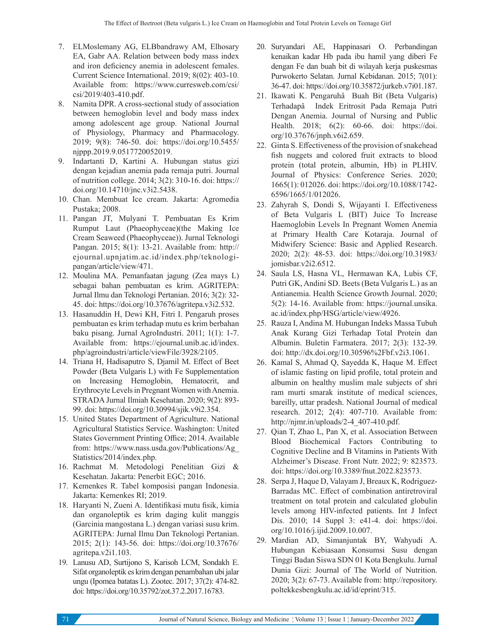- 7. ELMoslemany AG, ELBbandrawy AM, Elhosary EA, Gabr AA. Relation between body mass index and iron deficiency anemia in adolescent females. Current Science International. 2019; 8(02): 403-10. Available from: https://www.curresweb.com/csi/ csi/2019/403-410.pdf.
- 8. Namita DPR. A cross-sectional study of association between hemoglobin level and body mass index among adolescent age group. National Journal of Physiology, Pharmacy and Pharmacology. 2019; 9(8): 746-50. doi: https://doi.org/10.5455/ njppp.2019.9.0517720052019.
- 9. Indartanti D, Kartini A. Hubungan status gizi dengan kejadian anemia pada remaja putri. Journal of nutrition college. 2014; 3(2): 310-16. doi: https:// doi.org/10.14710/jnc.v3i2.5438.
- 10. Chan. Membuat Ice cream. Jakarta: Agromedia Pustaka; 2008.
- 11. Pangan JT, Mulyani T. Pembuatan Es Krim Rumput Laut (Phaeophyceae)(the Making Ice Cream Seaweed (Phaeophyceae)). Jurnal Teknologi Pangan. 2015; 8(1): 13-21. Available from: http:// ejournal.upnjatim.ac.id/index.php/teknologipangan/article/view/471.
- 12. Moulina MA. Pemanfaatan jagung (Zea mays L) sebagai bahan pembuatan es krim. AGRITEPA: Jurnal Ilmu dan Teknologi Pertanian. 2016; 3(2): 32- 45. doi: https://doi.org/10.37676/agritepa.v3i2.532.
- 13. Hasanuddin H, Dewi KH, Fitri I. Pengaruh proses pembuatan es krim terhadap mutu es krim berbahan baku pisang. Jurnal AgroIndustri. 2011; 1(1): 1-7. Available from: https://ejournal.unib.ac.id/index. php/agroindustri/article/viewFile/3928/2105.
- 14. Triana H, Hadisaputro S, Djamil M. Effect of Beet Powder (Beta Vulgaris L) with Fe Supplementation on Increasing Hemoglobin, Hematocrit, and Erythrocyte Levels in Pregnant Women with Anemia. STRADA Jurnal Ilmiah Kesehatan. 2020; 9(2): 893- 99. doi: https://doi.org/10.30994/sjik.v9i2.354.
- 15. United States Department of Agriculture. National Agricultural Statistics Service. Washington: United States Government Printing Office; 2014. Available from: https://www.nass.usda.gov/Publications/Ag\_ Statistics/2014/index.php.
- 16. Rachmat M. Metodologi Penelitian Gizi & Kesehatan. Jakarta: Penerbit EGC; 2016.
- 17. Kemenkes R. Tabel komposisi pangan Indonesia. Jakarta: Kemenkes RI; 2019.
- 18. Haryanti N, Zueni A. Identifikasi mutu fisik, kimia dan organoleptik es krim daging kulit manggis (Garcinia mangostana L.) dengan variasi susu krim. AGRITEPA: Jurnal Ilmu Dan Teknologi Pertanian. 2015; 2(1): 143-56. doi: https://doi.org/10.37676/ agritepa.v2i1.103.
- 19. Lanusu AD, Surtijono S, Karisoh LCM, Sondakh E. Sifat organoleptik es krim dengan penambahan ubi jalar ungu (Ipomea batatas L). Zootec. 2017; 37(2): 474-82. doi: https://doi.org/10.35792/zot.37.2.2017.16783.
- 20. Suryandari AE, Happinasari O. Perbandingan kenaikan kadar Hb pada ibu hamil yang diberi Fe dengan Fe dan buah bit di wilayah kerja puskesmas Purwokerto Selatan. Jurnal Kebidanan. 2015; 7(01): 36-47. doi: https://doi.org/10.35872/jurkeb.v7i01.187.
- 21. Ikawati K. Pengaruhâ Buah Bit (Beta Vulgaris) Terhadapâ Indek Eritrosit Pada Remaja Putri Dengan Anemia. Journal of Nursing and Public Health. 2018; 6(2): 60-66. doi: https://doi. org/10.37676/jnph.v6i2.659.
- 22. Ginta S. Effectiveness of the provision of snakehead fish nuggets and colored fruit extracts to blood protein (total protein, albumin, Hb) in PLHIV. Journal of Physics: Conference Series. 2020; 1665(1): 012026. doi: https://doi.org/10.1088/1742- 6596/1665/1/012026.
- 23. Zahyrah S, Dondi S, Wijayanti I. Effectiveness of Beta Vulgaris L (BIT) Juice To Increase Haemoglobin Levels In Pregnant Women Anemia at Primary Health Care Kotaraja. Journal of Midwifery Science: Basic and Applied Research. 2020; 2(2): 48-53. doi: https://doi.org/10.31983/ jomisbar.v2i2.6512.
- 24. Saula LS, Hasna VL, Hermawan KA, Lubis CF, Putri GK, Andini SD. Beets (Beta Vulgaris L.) as an Antianemia. Health Science Growth Journal. 2020; 5(2): 14-16. Available from: https://journal.unsika. ac.id/index.php/HSG/article/view/4926.
- 25. Rauza I, Andina M. Hubungan Indeks Massa Tubuh Anak Kurang Gizi Terhadap Total Protein dan Albumin. Buletin Farmatera. 2017; 2(3): 132-39. doi: http://dx.doi.org/10.30596%2Fbf.v2i3.1061.
- 26. Kamal S, Ahmad Q, Sayedda K, Haque M. Effect of islamic fasting on lipid profile, total protein and albumin on healthy muslim male subjects of shri ram murti smarak institute of medical sciences, bareilly, uttar pradesh. National Journal of medical research. 2012; 2(4): 407-710. Available from: http://njmr.in/uploads/2-4\_407-410.pdf.
- 27. Qian T, Zhao L, Pan X, et al. Association Between Blood Biochemical Factors Contributing to Cognitive Decline and B Vitamins in Patients With Alzheimer's Disease. Front Nutr. 2022; 9: 823573. doi: https://doi.org/10.3389/fnut.2022.823573.
- 28. Serpa J, Haque D, Valayam J, Breaux K, Rodriguez-Barradas MC. Effect of combination antiretroviral treatment on total protein and calculated globulin levels among HIV-infected patients. Int J Infect Dis. 2010; 14 Suppl 3: e41-4. doi: https://doi. org/10.1016/j.ijid.2009.10.007.
- 29. Mardian AD, Simanjuntak BY, Wahyudi A. Hubungan Kebiasaan Konsumsi Susu dengan Tinggi Badan Siswa SDN 01 Kota Bengkulu. Jurnal Dunia Gizi: Journal of The World of Nutrition. 2020; 3(2): 67-73. Available from: http://repository. poltekkesbengkulu.ac.id/id/eprint/315.